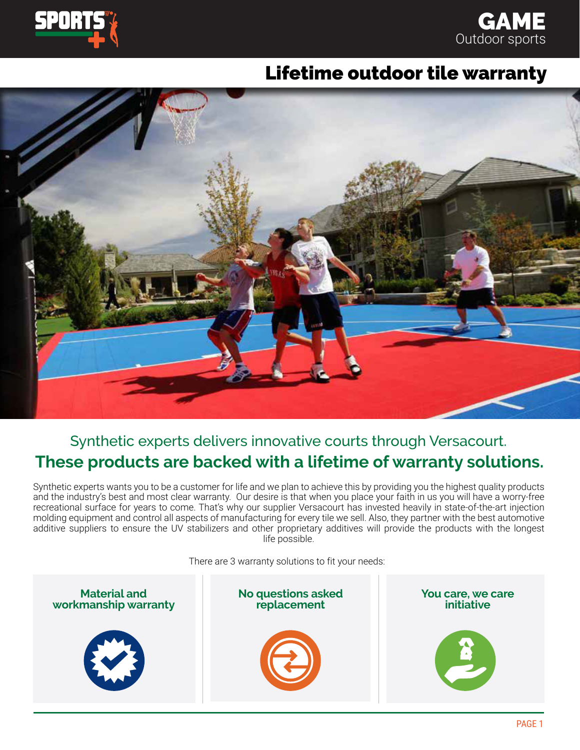



## Lifetime outdoor tile warranty



## Synthetic experts delivers innovative courts through Versacourt. **These products are backed with a lifetime of warranty solutions.**

Synthetic experts wants you to be a customer for life and we plan to achieve this by providing you the highest quality products and the industry's best and most clear warranty. Our desire is that when you place your faith in us you will have a worry-free recreational surface for years to come. That's why our supplier Versacourt has invested heavily in state-of-the-art injection molding equipment and control all aspects of manufacturing for every tile we sell. Also, they partner with the best automotive additive suppliers to ensure the UV stabilizers and other proprietary additives will provide the products with the longest life possible.

There are 3 warranty solutions to fit your needs:

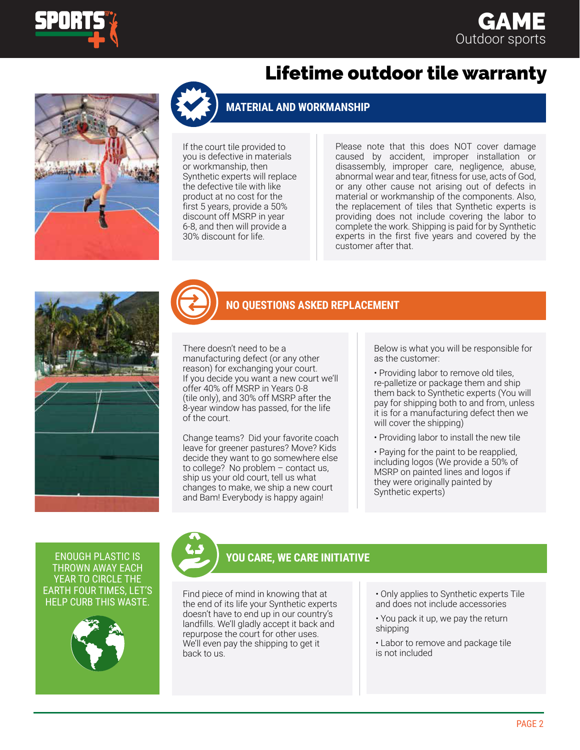

### **GAME** Outdoor sports



# Lifetime outdoor tile warranty

#### **MATERIAL AND WORKMANSHIP**

If the court tile provided to you is defective in materials or workmanship, then Synthetic experts will replace the defective tile with like product at no cost for the first 5 years, provide a 50% discount off MSRP in year 6-8, and then will provide a 30% discount for life.

Please note that this does NOT cover damage caused by accident, improper installation or disassembly, improper care, negligence, abuse, abnormal wear and tear, fitness for use, acts of God, or any other cause not arising out of defects in material or workmanship of the components. Also, the replacement of tiles that Synthetic experts is providing does not include covering the labor to complete the work. Shipping is paid for by Synthetic experts in the first five years and covered by the customer after that.





#### **NO QUESTIONS ASKED REPLACEMENT**

There doesn't need to be a manufacturing defect (or any other reason) for exchanging your court. If you decide you want a new court we'll offer 40% off MSRP in Years 0-8 (tile only), and 30% off MSRP after the 8-year window has passed, for the life of the court.

Change teams? Did your favorite coach leave for greener pastures? Move? Kids decide they want to go somewhere else to college? No problem – contact us, ship us your old court, tell us what changes to make, we ship a new court and Bam! Everybody is happy again!

Below is what you will be responsible for as the customer:

• Providing labor to remove old tiles, re-palletize or package them and ship them back to Synthetic experts (You will pay for shipping both to and from, unless it is for a manufacturing defect then we will cover the shipping)

• Providing labor to install the new tile

• Paying for the paint to be reapplied, including logos (We provide a 50% of MSRP on painted lines and logos if they were originally painted by Synthetic experts)

THROWN AWAY EACH YEAR TO CIRCLE THE EARTH FOUR TIMES, LET'S HELP CURB THIS WASTE.





### ENOUGH PLASTIC IS **YOU CARE, WE CARE INITIATIVE**

Find piece of mind in knowing that at the end of its life your Synthetic experts doesn't have to end up in our country's landfills. We'll gladly accept it back and repurpose the court for other uses. We'll even pay the shipping to get it back to us.

- Only applies to Synthetic experts Tile and does not include accessories
- You pack it up, we pay the return shipping
- Labor to remove and package tile is not included